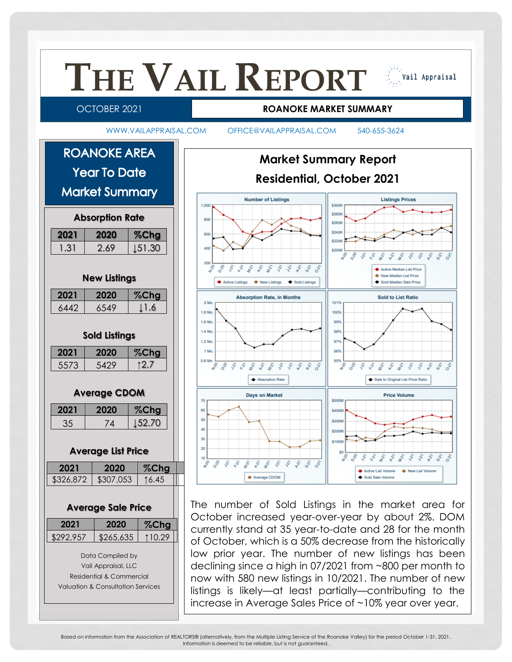

Based on information from the Association of REALTORS® (alternatively, from the Multiple Listing Service of the Roanoke Valley) for the period October 1-31, 2021. Information is deemed to be reliable, but is not guaranteed.